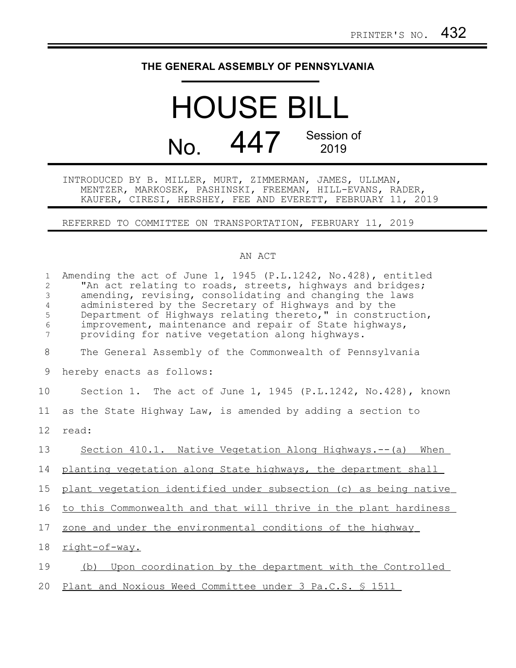## **THE GENERAL ASSEMBLY OF PENNSYLVANIA**

## HOUSE BILL No. 447 Session of 2019

INTRODUCED BY B. MILLER, MURT, ZIMMERMAN, JAMES, ULLMAN, MENTZER, MARKOSEK, PASHINSKI, FREEMAN, HILL-EVANS, RADER, KAUFER, CIRESI, HERSHEY, FEE AND EVERETT, FEBRUARY 11, 2019

REFERRED TO COMMITTEE ON TRANSPORTATION, FEBRUARY 11, 2019

## AN ACT

| $\mathbf{1}$<br>2<br>3<br>$\overline{4}$<br>5<br>6<br>7 | Amending the act of June 1, 1945 (P.L.1242, No.428), entitled<br>"An act relating to roads, streets, highways and bridges;<br>amending, revising, consolidating and changing the laws<br>administered by the Secretary of Highways and by the<br>Department of Highways relating thereto," in construction,<br>improvement, maintenance and repair of State highways,<br>providing for native vegetation along highways. |
|---------------------------------------------------------|--------------------------------------------------------------------------------------------------------------------------------------------------------------------------------------------------------------------------------------------------------------------------------------------------------------------------------------------------------------------------------------------------------------------------|
| 8                                                       | The General Assembly of the Commonwealth of Pennsylvania                                                                                                                                                                                                                                                                                                                                                                 |
| 9                                                       | hereby enacts as follows:                                                                                                                                                                                                                                                                                                                                                                                                |
| 10                                                      | Section 1. The act of June 1, 1945 (P.L.1242, No.428), known                                                                                                                                                                                                                                                                                                                                                             |
| 11                                                      | as the State Highway Law, is amended by adding a section to                                                                                                                                                                                                                                                                                                                                                              |
| 12                                                      | read:                                                                                                                                                                                                                                                                                                                                                                                                                    |
| 13                                                      | Section 410.1. Native Vegetation Along Highways.-- (a) When                                                                                                                                                                                                                                                                                                                                                              |
| 14                                                      | planting vegetation along State highways, the department shall                                                                                                                                                                                                                                                                                                                                                           |
| 15                                                      | plant vegetation identified under subsection (c) as being native                                                                                                                                                                                                                                                                                                                                                         |
| 16                                                      | to this Commonwealth and that will thrive in the plant hardiness                                                                                                                                                                                                                                                                                                                                                         |
| 17                                                      | zone and under the environmental conditions of the highway                                                                                                                                                                                                                                                                                                                                                               |
| 18                                                      | right-of-way.                                                                                                                                                                                                                                                                                                                                                                                                            |
| 19                                                      | Upon coordination by the department with the Controlled<br>(b)                                                                                                                                                                                                                                                                                                                                                           |
| 20                                                      | Plant and Noxious Weed Committee under 3 Pa.C.S. § 1511                                                                                                                                                                                                                                                                                                                                                                  |